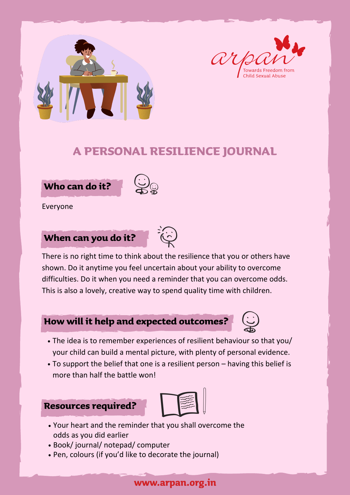



Everyone



There is no right time to think about the resilience that you or others have

shown. Do it anytime you feel uncertain about your ability to overcome difficulties. Do it when you need a reminder that you can overcome odds. This is also a lovely, creative way to spend quality time with children.



- Your heart and the reminder that you shall overcome the odds as you did earlier
- Book/ journal/ notepad/ computer
- Pen, colours (if you'd like to decorate the journal)

www.arpan.org.in

- The idea is to remember experiences of resilient behaviour so that you/ your child can build a mental picture, with plenty of personal evidence.
- To support the belief that one is a resilient person having this belief is more than half the battle won!

## **How will it help and expected outcomes?**







## **A PERSONAL RESILIENCE JOURNAL**